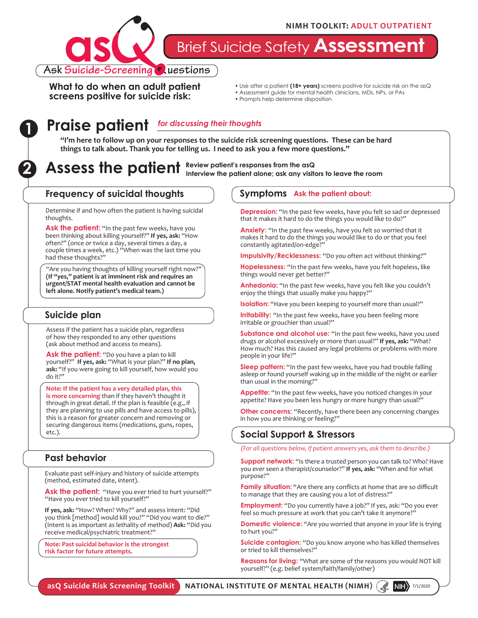

Brief Suicide Safety **Assessment**

**What to do when an adult patient screens positive for suicide risk:**

- Use after a patient **(18+ years)** screens positive for suicide risk on the asQ
- Assessment guide for mental health clinicians, MDs, NPs, or PAs
- Prompts help determine disposition

# **Praise patient 1** *for discussing their thoughts*

**"I'm here to follow up on your responses to the suicide risk screening questions. These can be hard things to talk about. Thank you for telling us. I need to ask you a few more questions."**

#### **2** Assess the patient Review patient's responses from the asQ **Interview the patient alone; ask any visitors to leave the room**

#### **Frequency of suicidal thoughts**

Determine if and how often the patient is having suicidal thoughts.

Ask the patient: "In the past few weeks, have you been thinking about killing yourself?" **If yes, ask:** "How often?" (once or twice a day, several times a day, a couple times a week, etc.) "When was the last time you had these thoughts?"

"Are you having thoughts of killing yourself right now?" **(If "yes," patient is at imminent risk and requires an urgent/STAT mental health evaluation and cannot be left alone. Notify patient's medical team.)**

### **Suicide plan**

Assess if the patient has a suicide plan, regardless of how they responded to any other questions (ask about method and access to means).

Ask the patient: "Do you have a plan to kill yourself?" **If yes, ask:** "What is your plan?" **If no plan, ask:** "If you were going to kill yourself, how would you do it?"

**Note: If the patient has a very detailed plan, this is more concerning** than if they haven't thought it through in great detail. If the plan is feasible (e.g., if they are planning to use pills and have access to pills), this is a reason for greater concern and removing or securing dangerous items (medications, guns, ropes, etc.).

#### **Past behavior**

Evaluate past self-injury and history of suicide attempts (method, estimated date, intent).

**Ask the patient:** "Have you ever tried to hurt yourself?" "Have you ever tried to kill yourself?"

**If yes, ask:** "How? When? Why?" and assess intent: "Did you think [method] would kill you?" "Did you want to die?" (Intent is as important as lethality of method) **Ask:** "Did you receive medical/psychiatric treatment?"

**Note: Past suicidal behavior is the strongest risk factor for future attempts.** 

#### **Symptoms Ask the patient about:**

**Depression:** "In the past few weeks, have you felt so sad or depressed that it makes it hard to do the things you would like to do?"

Anxiety: "In the past few weeks, have you felt so worried that it makes it hard to do the things you would like to do or that you feel constantly agitated/on-edge?

**Impulsivity/Recklessness:** "Do you often act without thinking?"

**Hopelessness:** "In the past few weeks, have you felt hopeless, like things would never get better?"

**Anhedonia:** "In the past few weeks, have you felt like you couldn't enjoy the things that usually make you happy?"

**Isolation:** "Have you been keeping to yourself more than usual?"

**Irritability:** "In the past few weeks, have you been feeling more irritable or grouchier than usual?"

**Substance and alcohol use:** "In the past few weeks, have you used drugs or alcohol excessively or more than usual?" **If yes, ask:** "What? How much? Has this caused any legal problems or problems with more people in your life?"

**Sleep pattern:** "In the past few weeks, have you had trouble falling asleep or found yourself waking up in the middle of the night or earlier than usual in the morning?"

**Appetite:** "In the past few weeks, have you noticed changes in your appetite? Have you been less hungry or more hungry than usual?"

**Other concerns:** "Recently, have there been any concerning changes in how you are thinking or feeling?"

#### **Social Support & Stressors**

*(For all questions below, if patient answers yes, ask them to describe.)*

**Support network:** "Is there a trusted person you can talk to? Who? Have you ever seen a therapist/counselor?" **If yes, ask:** "When and for what purpose?"

**Family situation:** "Are there any conflicts at home that are so difficult to manage that they are causing you a lot of distress?"

**Employment:** "Do you currently have a job?" If yes, ask: "Do you ever feel so much pressure at work that you can't take it anymore?"

**Domestic violence:** "Are you worried that anyone in your life is trying to hurt you?"

**Suicide contagion:** "Do you know anyone who has killed themselves or tried to kill themselves?"

**Reasons for living:** "What are some of the reasons you would NOT kill yourself?" (e.g. belief system/faith/family/other)